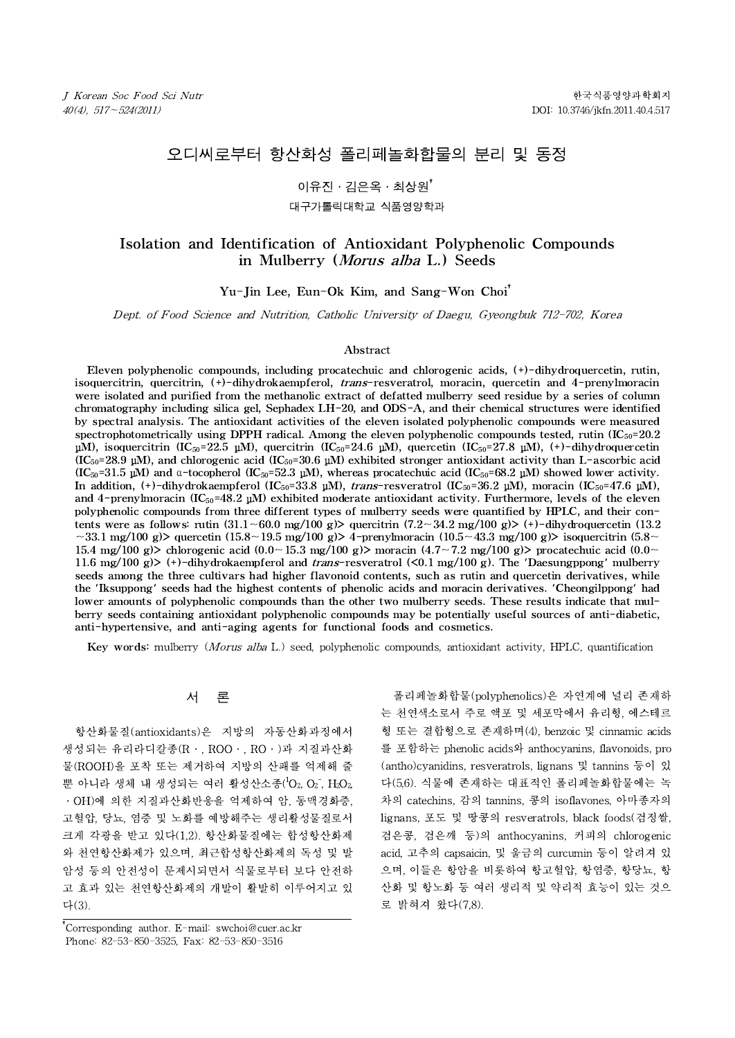# 오디씨로부터 항산화성 폴리페놀화합물의 분리 및 동정

## 이유진ㆍ김은옥ㆍ최상원 $^{\dagger}$

#### 대구가톨릭대학교 식품영양학과

## Isolation and Identification of Antioxidant Polyphenolic Compounds in Mulberry (Morus alba L.) Seeds

### Yu-Jin Lee, Eun-Ok Kim, and Sang-Won Choi†

Dept. of Food Science and Nutrition, Catholic University of Daegu, Gyeongbuk 712-702, Korea

#### Abstract

Eleven polyphenolic compounds, including procatechuic and chlorogenic acids, (+)-dihydroquercetin, rutin, isoquercitrin, quercitrin, (+)-dihydrokaempferol, trans-resveratrol, moracin, quercetin and 4-prenylmoracin were isolated and purified from the methanolic extract of defatted mulberry seed residue by a series of column chromatography including silica gel, Sephadex LH-20, and ODS-A, and their chemical structures were identified by spectral analysis. The antioxidant activities of the eleven isolated polyphenolic compounds were measured spectrophotometrically using DPPH radical. Among the eleven polyphenolic compounds tested, rutin  $(IC_{50}=20.2)$ μM), isoquercitrin (IC<sub>50</sub>=22.5 μM), quercitrin (IC<sub>50</sub>=24.6 μM), quercetin (IC<sub>50</sub>=27.8 μM), (+)-dihydroquercetin  $(IC_{50}=28.9 \text{ µM})$ , and chlorogenic acid  $(IC_{50}=30.6 \text{ µM})$  exhibited stronger antioxidant activity than L-ascorbic acid (IC<sub>50</sub>=31.5 μM) and a-tocopherol (IC<sub>50</sub>=52.3 μM), whereas procatechuic acid (IC<sub>50</sub>=68.2 μM) showed lower activity. In addition, (+)-dihydrokaempferol (IC<sub>50</sub>=33.8 μM), trans-resveratrol (IC<sub>50</sub>=36.2 μM), moracin (IC<sub>50</sub>=47.6 μM), and 4-prenylmoracin (IC<sub>50</sub>=48.2 µM) exhibited moderate antioxidant activity. Furthermore, levels of the eleven polyphenolic compounds from three different types of mulberry seeds were quantified by HPLC, and their contents were as follows: rutin (31.1∼60.0 mg/100 g)> quercitrin (7.2∼34.2 mg/100 g)> (+)-dihydroquercetin (13.2  $\sim$ 33.1 mg/100 g)> quercetin (15.8∼19.5 mg/100 g)> 4-prenylmoracin (10.5∼43.3 mg/100 g)> isoquercitrin (5.8∼ 15.4 mg/100 g)> chlorogenic acid (0.0∼15.3 mg/100 g)> moracin (4.7∼7.2 mg/100 g)> procatechuic acid (0.0∼ 11.6 mg/100 g)> (+)-dihydrokaempferol and trans-resveratrol  $\langle 0.1 \text{ mg}/100 \text{ g} \rangle$ . The 'Daesungppong' mulberry seeds among the three cultivars had higher flavonoid contents, such as rutin and quercetin derivatives, while the 'Iksuppong' seeds had the highest contents of phenolic acids and moracin derivatives. 'Cheongilppong' had lower amounts of polyphenolic compounds than the other two mulberry seeds. These results indicate that mulberry seeds containing antioxidant polyphenolic compounds may be potentially useful sources of anti-diabetic, anti-hypertensive, and anti-aging agents for functional foods and cosmetics.

Key words: mulberry (Morus alba L.) seed, polyphenolic compounds, antioxidant activity, HPLC, quantification

## 서 론

항산화물질(antioxidants)은 지방의 자동산화과정에서 생성되는 유리라디칼종(R․, ROO․, RO․)과 지질과산화 물(ROOH)을 포착 또는 제거하여 지방의 산패를 억제해 줄 뿐 아니라 생체 내 생성되는 여러 활성산소종( $^1\mathrm{O}_2$ ,  $\mathrm{O}_2$ ,  $\mathrm{H}_2\mathrm{O}_2$ , ․OH)에 의한 지질과산화반응을 억제하여 암, 동맥경화증, 고혈압, 당뇨, 염증 및 노화를 예방해주는 생리활성물질로서 크게 각광을 받고 있다(1,2). 항산화물질에는 합성항산화제 와 천연항산화제가 있으며, 최근합성항산화제의 독성 및 발 암성 등의 안전성이 문제시되면서 식물로부터 보다 안전하 고 효과 있는 천연항산화제의 개발이 활발히 이루어지고 있 다(3).

폴리페놀화합물(polyphenolics)은 자연계에 널리 존재하 는 천연색소로서 주로 액포 및 세포막에서 유리형, 에스테르 형 또는 결합형으로 존재하며(4), benzoic 및 cinnamic acids 를 포함하는 phenolic acids와 anthocyanins, flavonoids, pro (antho)cyanidins, resveratrols, lignans 및 tannins 등이 있 다(5,6). 식물에 존재하는 대표적인 폴리페놀화합물에는 녹 차의 catechins, 감의 tannins, 콩의 isoflavones,아마종자의 lignans, 포도 및 땅콩의 resveratrols, black foods(검정쌀, 검은콩, 검은깨 등)의 anthocyanins, 커피의 chlorogenic acid, 고추의 capsaicin, 및 울금의 curcumin 등이 알려져 있 으며, 이들은 항암을 비롯하여 항고혈압, 항염증, 항당뇨, 항 산화 및 항노화 등 여러 생리적 및 약리적 효능이 있는 것으 로 밝혀져 왔다(7,8).

<sup>†</sup>Corresponding author. E-mail: swchoi@cuer.ac.kr † Phone: 82-53-850-3525, Fax: 82-53-850-3516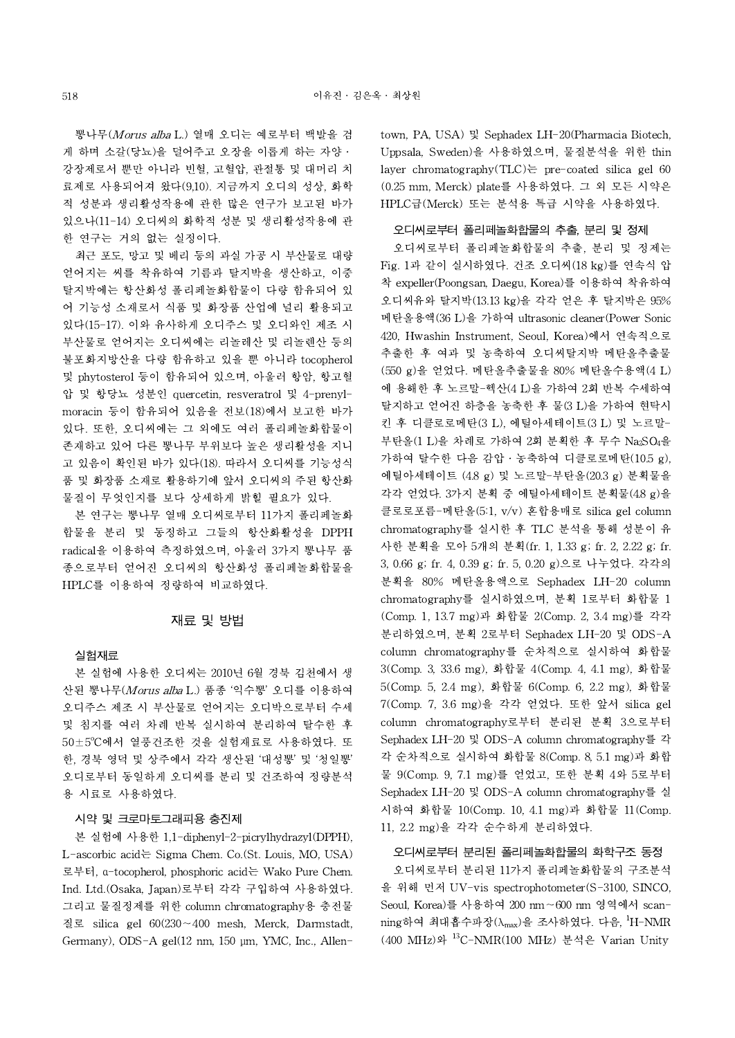뽕나무(Morus alba L.) 열매 오디는 예로부터 백발을 검 게 하며 소갈(당뇨)을 덜어주고 오장을 이롭게 하는 자양․ 강장제로서 뿐만 아니라 빈혈, 고혈압, 관절통 및 대머리 치 료제로 사용되어져 왔다(9,10). 지금까지 오디의 성상, 화학 적 성분과 생리활성작용에 관한 많은 연구가 보고된 바가 있으나(11-14) 오디씨의 화학적 성분 및 생리활성작용에 관 한 연구는 거의 없는 실정이다.

최근 포도, 망고 및 베리 등의 과실 가공 시 부산물로 대량 얻어지는 씨를 착유하여 기름과 탈지박을 생산하고, 이중 탈지박에는 항산화성 폴리페놀화합물이 다량 함유되어 있 어 기능성 소재로서 식품 및 화장품 산업에 널리 활용되고 있다(15-17). 이와 유사하게 오디주스 및 오디와인 제조 시 부산물로 얻어지는 오디씨에는 리놀레산 및 리놀렌산 등의 불포화지방산을 다량 함유하고 있을 뿐 아니라 tocopherol 및 phytosterol 등이 함유되어 있으며, 아울러 항암, 항고혈 압 및 항당뇨 성분인 quercetin, resveratrol 및 4-prenylmoracin 등이 함유되어 있음을 전보(18)에서 보고한 바가 있다. 또한, 오디씨에는 그 외에도 여러 폴리페놀화합물이 존재하고 있어 다른 뽕나무 부위보다 높은 생리활성을 지니 고 있음이 확인된 바가 있다(18). 따라서 오디씨를 기능성식 품 및 화장품 소재로 활용하기에 앞서 오디씨의 주된 항산화 물질이 무엇인지를 보다 상세하게 밝힐 필요가 있다.

본 연구는 뽕나무 열매 오디씨로부터 11가지 폴리페놀화 합물을 분리 및 동정하고 그들의 항산화활성을 DPPH radical을 이용하여 측정하였으며, 아울러 3가지 뽕나무 품 종으로부터 얻어진 오디씨의 항산화성 폴리페놀화합물을 HPLC를 이용하여 정량하여 비교하였다.

### 재료 및 방법

#### 실험재료

본 실험에 사용한 오디씨는 2010년 6월 경북 김천에서 생 산된 뽕나무(Morus alba L.) 품종 '익수뽕' 오디를 이용하여 오디주스 제조 시 부산물로 얻어지는 오디박으로부터 수세 및 침지를 여러 차례 반복 실시하여 분리하여 탈수한 후 50±5°C에서 열풍건조한 것을 실험재료로 사용하였다. 또 Sephadex l 한, 경북 영덕 및 상주에서 각각 생산된 '대성뽕' 및 '청일뽕' 오디로부터 동일하게 오디씨를 분리 및 건조하여 정량분석 용 시료로 사용하였다.

#### 시약 및 크로마토그래피용 충진제

본 실험에 사용한 1,1-diphenyl-2-picrylhydrazyl(DPPH), L-ascorbic acid는 Sigma Chem. Co.(St. Louis, MO, USA) 로부터, α-tocopherol, phosphoric acid는 Wako Pure Chem. Ind. Ltd.(Osaka, Japan)로부터 각각 구입하여 사용하였다. 그리고 물질정제를 위한 column chromatography용 충전물 질로 silica gel 60(230∼400 mesh, Merck, Darmstadt, Germany), ODS-A gel(12 nm,150 μm, YMC, Inc., Allentown, PA, USA) 및 Sephadex LH-20(Pharmacia Biotech, Uppsala, Sweden)을 사용하였으며, 물질분석을 위한 thin layer chromatography(TLC)는 pre-coated silica gel 60 (0.25 mm, Merck) plate를 사용하였다. 그 외 모든 시약은 HPLC급(Merck) 또는 분석용 특급 시약을 사용하였다.

#### 오디씨로부터 폴리페놀화합물의 추출, 분리 및 정제

오디씨로부터 폴리페놀화합물의 추출, 분리 및 정제는 Fig. 1과 같이 실시하였다.건조 오디씨(18 kg)를 연속식 압 착 expeller(Poongsan, Daegu, Korea)를 이용하여 착유하여 오디씨유와 탈지박(13.13 kg)을 각각 얻은 후 탈지박은 95% 메탄올용액(36 L)을 가하여 ultrasonic cleaner(Power Sonic 420, Hwashin Instrument, Seoul, Korea)에서 연속적으로 추출한 후 여과 및 농축하여 오디씨탈지박 메탄올추출물 (550 g)을 얻었다. 메탄올추출물을 80% 메탄올수용액(4 L) 에 용해한 후 노르말-헥산(4 L)을 가하여 2회 반복 수세하여 탈지하고 얻어진 하층을 농축한 후 물(3 L)을 가하여 현탁시 킨 후 디클로로메탄(3 L), 에틸아세테이트(3 L) 및 노르말-부탄올(1 L)을 차례로 가하여 2회 분획한 후 무수 Na2SO4을 가하여 탈수한 다음 감압․농축하여 디클로로메탄(10.5 g), 에틸아세테이트 (4.8 g) 및 노르말-부탄올(20.3 g) 분획물을 각각 얻었다. 3가지 분획 중 에틸아세테이트 분획물(4.8 g)을 클로로포름-메탄올(5:1, v/v) 혼합용매로 silica gelcolumn chromatography를 실시한 후 TLC 분석을 통해 성분이 유 사한 분획을 모아 5개의 분획(fr. 1, 1.33 g; fr. 2, 2.22 g; fr. 3, 0.66 g; fr. 4, 0.39 g; fr. 5, 0.20 g)으로 나누었다. 각각의 분획을 80% 메탄올용액으로 Sephadex LH-20 column chromatography를 실시하였으며, 분획 1로부터 화합물 1 (Comp. 1, 13.7 mg)과 화합물 2(Comp. 2, 3.4 mg)를 각각 분리하였으며, 분획 2로부터 Sephadex LH-20 및 ODS-A column chromatography를 순차적으로 실시하여 화합물 3(Comp. 3, 33.6 mg), 화합물 4(Comp. 4, 4.1 mg), 화합물 5(Comp. 5, 2.4 mg), 화합물 6(Comp. 6, 2.2 mg), 화합물 7(Comp. 7, 3.6 mg)을 각각 얻었다. 또한 앞서 silica gel column chromatography로부터 분리된 분획 3으로부터 Sephadex LH-20 및 ODS-A column chromatography를 각 각 순차적으로 실시하여 화합물 8(Comp. 8, 5.1 mg)과 화합 물 9(Comp. 9, 7.1 mg)를 얻었고, 또한 분획 4와 5로부터 Sephadex LH-20 및 ODS-A column chromatography를 실 시하여 화합물 10(Comp. 10, 4.1 mg)과 화합물 11(Comp. 11, 2.2 mg)을 각각 순수하게 분리하였다.

#### 오디씨로부터 분리된 폴리페놀화합물의 화학구조 동정

오디씨로부터 분리된 11가지 폴리페놀화합물의 구조분석 을 위해 먼저 UV-vis spectrophotometer(S-3100, SINCO, Seoul, Korea)를 사용하여 200 nm∼600 nm 영역에서 scan- $\min$ g하여 최대흡수파장( $\lambda_{\max}$ )을 조사하였다. 다음, 'H-NMR (400 MHz)와 <sup>13</sup>C-NMR(100 MHz) 분석은 Varian Unity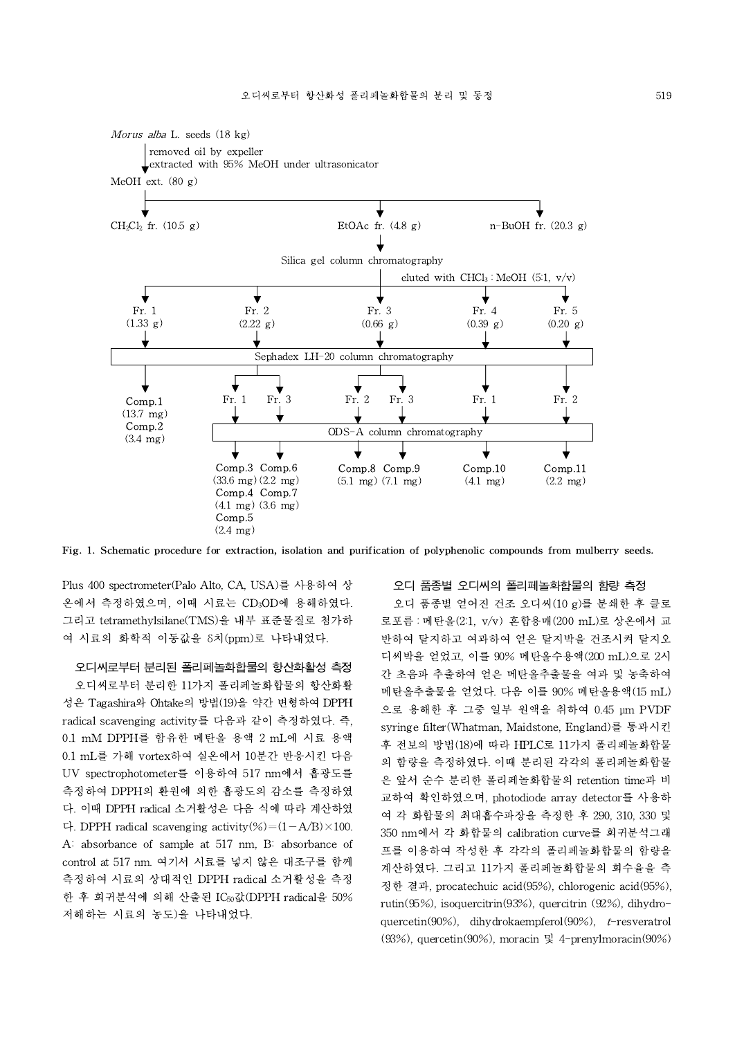

Fig. 1. Schematic procedure for extraction, isolation and purification of polyphenolic compounds from mulberry seeds.

Plus 400 spectrometer(Palo Alto, CA, USA)를 사용하여 상 온에서 측정하였으며, 이때 시료는 CD3OD에 용해하였다. 그리고 tetramethylsilane(TMS)을 내부 표준물질로 첨가하 여 시료의 화학적 이동값을 δ치(ppm)로 나타내었다.

### 오디씨로부터 분리된 폴리페놀화합물의 항산화활성 측정

오디씨로부터 분리한 11가지 폴리페놀화합물의 항산화활 성은 Tagashira와 Ohtake의 방법(19)을 약간 변형하여 DPPH radical scavenging activity를 다음과 같이 측정하였다. 즉, 0.1 mM DPPH를 함유한 메탄올 용액 2 mL에 시료 용액 0.1 mL를 가해 vortex하여 실온에서 10분간 반응시킨 다음 UV spectrophotometer를 이용하여 517 nm에서 흡광도를 측정하여 DPPH의 환원에 의한 흡광도의 감소를 측정하였 다. 이때 DPPH radical 소거활성은 다음 식에 따라 계산하였 다. DPPH radical scavenging activity(%)= $(1-A/B) \times 100$ . A: absorbance of sample at 517 nm, B: absorbance of control at 517 nm. 여기서 시료를 넣지 않은 대조구를 함께 측정하여 시료의 상대적인 DPPH radical 소거활성을 측정 한 후 회귀분석에 의해 산출된 IC50값(DPPH radical을 50% 저해하는 시료의 농도)을 나타내었다.

#### 오디 품종별 오디씨의 폴리페놀화합물의 함량 측정

오디 품종별 얻어진 건조 오디씨(10 g)를 분쇄한 후 클로 로포름 : 메탄올(2:1,v/v) 혼합용매(200 mL)로 상온에서 교 반하여 탈지하고 여과하여 얻은 탈지박을 건조시켜 탈지오 디씨박을 얻었고, 이를 90% 메탄올수용액(200 mL)으로 2시 간 초음파 추출하여 얻은 메탄올추출물을 여과 및 농축하여 메탄올추출물을 얻었다. 다음 이를 90% 메탄올용액(15 mL) 으로 용해한 후 그중 일부 원액을 취하여 0.45 μm PVDF syringe filter(Whatman, Maidstone, England)를 통과시킨 후 전보의 방법(18)에 따라 HPLC로 11가지 폴리페놀화합물 의 함량을 측정하였다.이때 분리된 각각의 폴리페놀화합물 은 앞서 순수 분리한 폴리페놀화합물의 retention time과 비 교하여 확인하였으며, photodiode array detector를 사용하 여 각 화합물의 최대흡수파장을 측정한 후 290, 310, 330 및 350 nm에서 각 화합물의 calibration curve를 회귀분석그래 프를 이용하여 작성한 후 각각의 폴리페놀화합물의 함량을 계산하였다. 그리고 11가지 폴리페놀화합물의 회수율을 측 정한 결과, procatechuic acid(95%), chlorogenic acid(95%), rutin(95%), isoquercitrin(93%), quercitrin (92%), dihydroquercetin(90%), dihydrokaempferol(90%),  $t$ -resveratrol (93%), quercetin(90%), moracin 및 4-prenylmoracin(90%)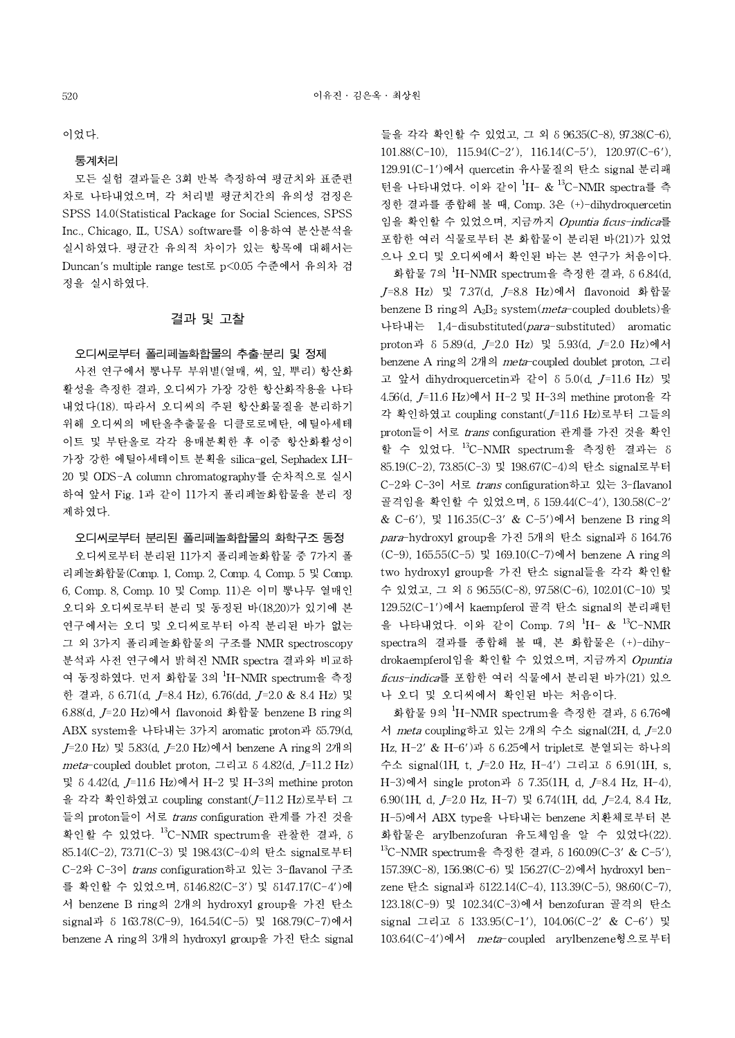이었다.

### 통계처리

모든 실험 결과들은 3회 반복 측정하여 평균치와 표준편 차로 나타내었으며, 각 처리별 평균치간의 유의성 검정은 SPSS 14.0(Statistical Package for Social Sciences, SPSS Inc., Chicago, IL, USA) software를 이용하여 분산분석을 실시하였다. 평균간 유의적 차이가 있는 항목에 대해서는 Duncan's multiple range test로 p<0.05 수준에서 유의차 검 정을 실시하였다.

## 결과 및 고찰

### 오디씨로부터 폴리페놀화합물의 추출·분리 및 정제

사전 연구에서 뽕나무 부위별(열매, 씨, 잎, 뿌리) 항산화 활성을 측정한 결과, 오디씨가 가장 강한 항산화작용을 나타 내었다(18). 따라서 오디씨의 주된 항산화물질을 분리하기 위해 오디씨의 메탄올추출물을 디클로로메탄, 에틸아세테 이트 및 부탄올로 각각 용매분획한 후 이중 항산화활성이 가장 강한 에틸아세테이트 분획을 silica-gel, Sephadex LH-20 및 ODS-A column chromatography를 순차적으로 실시 하여 앞서 Fig. 1과 같이 11가지 폴리페놀화합물을 분리 정 제하였다.

#### 오디씨로부터 분리된 폴리페놀화합물의 화학구조 동정

오디씨로부터 분리된 11가지 폴리페놀화합물 중 7가지 폴 리페놀화합물(Comp. 1, Comp. 2, Comp. 4, Comp. 5 및 Comp. 6, Comp. 8, Comp. 10 및 Comp. 11)은 이미 뽕나무 열매인 오디와 오디씨로부터 분리 및 동정된 바(18,20)가 있기에 본 연구에서는 오디 및 오디씨로부터 아직 분리된 바가 없는 그 외 3가지 폴리페놀화합물의 구조를 NMR spectroscopy 분석과 사전 연구에서 밝혀진 NMR spectra 결과와 비교하 여 동정하였다. 먼저 화합물 3의 'H-NMR spectrum을 측정 ficus-indic 한 결과, δ 6.71(d, J=8.4 Hz), 6.76(dd, J=2.0 & 8.4 Hz) 및 6.88(d, J=2.0 Hz)에서 flavonoid 화합물 benzene B ring의 ABX system을 나타내는 3가지 aromatic proton과 δ5.79(d, J=2.0 Hz) 및 5.83(d, J=2.0 Hz)에서 benzeneA ring의 2개의 meta-coupled doublet proton,  $\Box$   $\Box$   $\Box$   $\Diamond$  4.82(d,  $J$ =11.2 Hz) 및 δ 4.42(d, J=11.6 Hz)에서 H-2 및 H-3의 methineproton 을 각각 확인하였고 coupling constant(J=11.2 Hz)로부터 그 들의 proton들이 서로 trans configuration 관계를 가진 것을 확인할 수 있었다. <sup>13</sup>C-NMR spectrum을 관찰한 결과, δ 85.14(C-2), 73.71(C-3) 및 198.43(C-4)의 탄소 signal로부터 C-2와 C-3이 trans configuration하고 있는 3-flavanol 구조 를 확인할 수 있었으며, δ146.82(C-3') 및 δ147.17(C-4')에 서 benzene B ring의 2개의 hydroxyl group을 가진 탄소 signal과 δ 163.78(C-9), 164.54(C-5) 및 168.79(C-7)에서 benzene A ring의 3개의 hydroxyl group을 가진 탄소 signal

들을 각각 확인할 수 있었고, 그 외 δ 96.35(C-8), 97.38(C-6), 101.88(C-10), 115.94(C-2'), 116.14(C-5'), 120.97(C-6'), 129.91(C-1')에서 quercetin 유사물질의 탄소 signal 분리패 턴을 나타내었다.이와 같이 <sup>1</sup>H- & <sup>13</sup>C-NMR spectra를 측 정한 결과를 종합해 볼 때, Comp. 3은 (+)-dihydroquercetin 임을 확인할 수 있었으며, 지금까지 Opuntia ficus-indica를 포함한 여러 식물로부터 본 화합물이 분리된 바(21)가 있었 으나 오디 및 오디씨에서 확인된 바는 본 연구가 처음이다.

화합물 7의 <sup>1</sup>H-NMR spectrum을 측정한 결과, δ 6.84(d, J=8.8 Hz) 및 7.37(d, J=8.8 Hz)에서 flavonoid 화합물 benzene B ring의 A2B<sup>2</sup> system(meta-coupled doublets)을 나타내는 1,4-disubstituted(para-substituted) aromatic proton과 δ 5.89(d, J=2.0 Hz) 및 5.93(d, J=2.0 Hz)에서 benzene A ring의 2개의 meta-coupled doublet proton, 그리 고 앞서 dihydroquercetin과 같이 δ 5.0(d, J=11.6 Hz) 및 4.56(d, J=11.6 Hz)에서 H-2 및 H-3의 methine proton을 각 각 확인하였고 coupling constant(J=11.6 Hz)로부터 그들의 proton들이 서로 trans configuration 관계를 가진 것을 확인 할 수 있었다.  $^{13}$ C-NMR spectrum을 측정한 결과는 δ 85.19(C-2), 73.85(C-3) 및 198.67(C-4)의 탄소 signal로부터 C-2와 C-3이 서로 trans configuration하고 있는 3-flavanol 골격임을 확인할 수 있었으며, δ 159.44(C-4'), 130.58(C-2' & C-6'), 및 116.35(C-3' & C-5')에서 benzene B ring의 para-hydroxyl group을 가진 5개의 탄소 signal과 δ 164.76 (C-9), 165.55(C-5) 및 169.10(C-7)에서 benzene A ring의 two hydroxyl group을 가진 탄소 signal들을 각각 확인할 수 있었고, 그 외 δ 96.55(C-8), 97.58(C-6), 102.01(C-10) 및 129.52(C-1')에서 kaempferol골격 탄소 signal의 분리패턴 을 나타내었다. 이와 같이 Comp. 7의 <sup>1</sup>H- & <sup>13</sup>C-NMR spectra의 결과를 종합해 볼 때, 본 화합물은 (+)-dihydrokaempferol임을 확인할 수 있었으며, 지금까지 Opuntia ficus-indica를 포함한 여러 식물에서 분리된 바가(21) 있으 나 오디 및 오디씨에서 확인된 바는 처음이다.

화합물 9의 <sup>1</sup>H-NMR spectrum을 측정한 결과, δ 6.76에 서 meta coupling하고 있는 2개의 수소 signal(2H, d, J=2.0 Hz, H-2' & H-6')과 δ 6.25에서 triplet로 분열되는 하나의 수소 signal(1H, t, J=2.0 Hz, H-4') 그리고 δ 6.91(1H, s, H-3)에서 single proton과 δ 7.35(1H, d, J=8.4 Hz, H-4), 6.90(1H, d, J=2.0 Hz, H-7) 및 6.74(1H, dd, J=2.4, 8.4 Hz, H-5)에서 ABX type을 나타내는 benzene 치환체로부터 본 화합물은 arylbenzofuran 유도체임을 알 수 있었다(22).  $13^1$ C-NMR spectrum을 측정한 결과, δ 160.09(C-3' & C-5'), 157.39(C-8), 156.98(C-6) 및 156.27(C-2)에서 hydroxyl benzene 탄소 signal과 δ122.14(C-4), 113.39(C-5), 98.60(C-7), 123.18(C-9) 및 102.34(C-3)에서 benzofuran 골격의 탄소 signal 그리고 δ 133.95(C-1'), 104.06(C-2' & C-6') 및 103.64(C-4')에서 meta-coupled arylbenzene형으로부터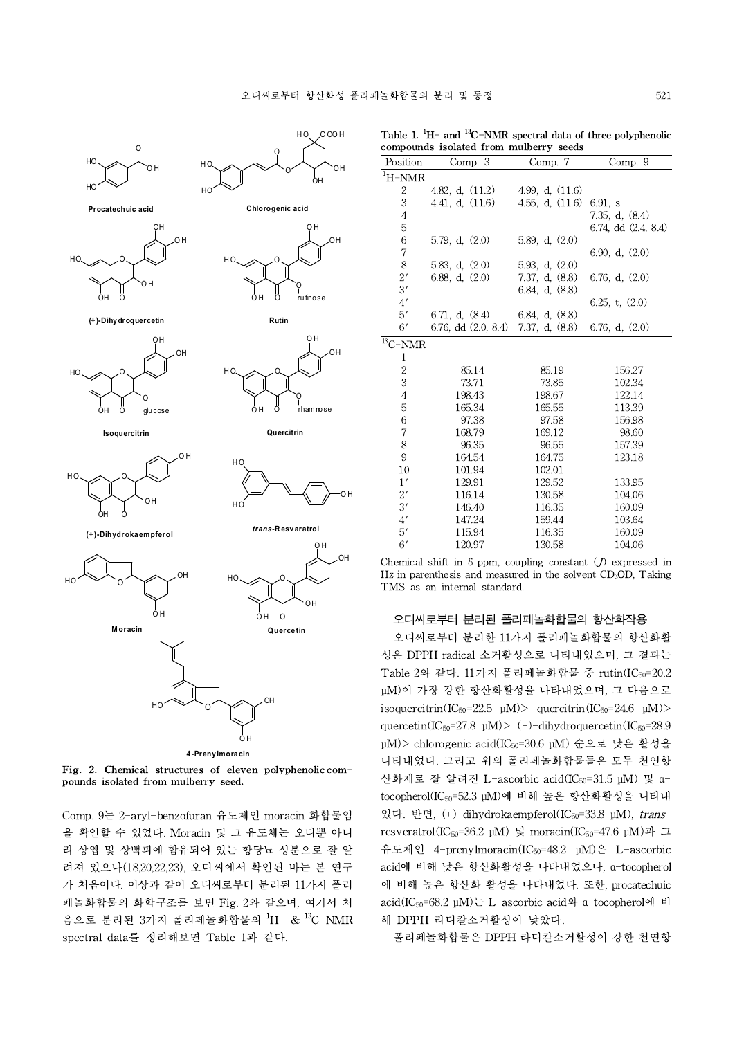

 $H C$ 

HO



**(+)-Dihy droquercetin**



**Isoquercitrin Quercitrin**





H O

Oʻ O

OH

OH

C OO H



o н

OH

O H



0、

 $\frac{1}{C}$ 

O H

OH

OH

**(+)-Dihydroka empferol** *trans***-R esv aratrol**





**4 -Preny lmora cin**

Comp. 9는 2-aryl-benzofuran 유도체인 moracin 화합물임 을 확인할 수 있었다. Moracin 및 그 유도체는 오디뿐 아니 라 상엽 및 상백피에 함유되어 있는 항당뇨 성분으로 잘 알 려져 있으나(18,20,22,23), 오디씨에서 확인된 바는 본 연구 가 처음이다. 이상과 같이 오디씨로부터 분리된 11가지 폴리 페놀화합물의 화학구조를 보면 Fig. 2와 같으며, 여기서 처 음으로 분리된 3가지 폴리페놀화합물의 'H- & <sup>13</sup>C-NMR \_\_\_ 해 DF spectral data를 정리해보면 Table 1과 같다.

Table 1.  ${}^{1}$ H- and  ${}^{13}$ C-NMR spectral data of three polyphenolic compounds isolated from mulberry seeds

| Position             | $1801$ $\mu$ $\sigma$ $\mu$ $\sigma$ $\mu$ $\sigma$ $\sigma$ $\sigma$ $\sigma$ $\sigma$ $\sigma$<br>Comp. $3$ | Comp. 7           | Comp. 9               |
|----------------------|---------------------------------------------------------------------------------------------------------------|-------------------|-----------------------|
| $\rm ^1H\text{-}NMR$ |                                                                                                               |                   |                       |
| 2                    | 4.82, d, (11.2)                                                                                               | 4.99, d, $(11.6)$ |                       |
| 3                    | 4.41, d. (11.6)                                                                                               | 4.55, d. $(11.6)$ | 6.91, s               |
| $\overline{4}$       |                                                                                                               |                   | 7.35, d, $(8.4)$      |
| 5                    |                                                                                                               |                   | 6.74, dd $(2.4, 8.4)$ |
| $\,$ 6 $\,$          | 5.79, d, $(2.0)$                                                                                              | 5.89, d, $(2.0)$  |                       |
| $\overline{7}$       |                                                                                                               |                   | 6.90, d, $(2.0)$      |
| 8                    | 5.83, d, $(2.0)$                                                                                              | 5.93, d, $(2.0)$  |                       |
| $2^{\prime}$         | 6.88, d, $(2.0)$                                                                                              | 7.37, d, $(8.8)$  | 6.76, d, $(2.0)$      |
| 3'                   |                                                                                                               | 6.84, d, $(8.8)$  |                       |
| 4'                   |                                                                                                               |                   | 6.25, t, $(2.0)$      |
| 5'                   | 6.71, d, $(8.4)$                                                                                              | 6.84, d. (8.8)    |                       |
| 6'                   | 6.76, dd $(2.0, 8.4)$ 7.37, d, $(8.8)$                                                                        |                   | 6.76, d, $(2.0)$      |
| $^{13}$ C-NMR        |                                                                                                               |                   |                       |
| 1                    |                                                                                                               |                   |                       |
| $\overline{c}$       | 85.14                                                                                                         | 85.19             | 156.27                |
| 3                    | 73.71                                                                                                         | 73.85             | 102.34                |
| $\overline{4}$       | 198.43                                                                                                        | 198.67            | 122.14                |
| 5                    | 165.34                                                                                                        | 165.55            | 113.39                |
| $\,6$                | 97.38                                                                                                         | 97.58             | 156.98                |
| $\overline{7}$       | 168.79                                                                                                        | 169.12            | 98.60                 |
| 8                    | 96.35                                                                                                         | 96.55             | 157.39                |
| 9                    | 164.54                                                                                                        | 164.75            | 123.18                |
| 10                   | 101.94                                                                                                        | 102.01            |                       |
| 1'                   | 129.91                                                                                                        | 129.52            | 133.95                |
| $2^{\prime}$         | 116.14                                                                                                        | 130.58            | 104.06                |
| 3'                   | 146.40                                                                                                        | 116.35            | 160.09                |
| 4'                   | 147.24                                                                                                        | 159.44            | 103.64                |
| 5'                   | 115.94                                                                                                        | 116.35            | 160.09                |
| 6'                   | 120.97                                                                                                        | 130.58            | 104.06                |

Chemical shift in  $\delta$  ppm, coupling constant  $(J)$  expressed in  $Hz$  in parenthesis and measured in the solvent  $CD<sub>3</sub>OD$ , Taking TMS as an internal standard.

## 오디씨로부터 분리된 폴리페놀화합물의 항산화작용

오디씨로부터 분리한 11가지 폴리페놀화합물의 항산화활 성은 DPPH radical 소거활성으로 나타내었으며, 그 결과는 Table 2와 같다. 11가지 폴리페놀화합물 중 rutin(IC50=20.2 μM)이 가장 강한 항산화활성을 나타내었으며, 그 다음으로 isoquercitrin(IC<sub>50</sub>=22.5  $\mu$ M) y quercitrin(IC<sub>50</sub>=24.6  $\mu$ M) > quercetin(IC<sub>50</sub>=27.8  $\mu$ M)> (+)-dihydroquercetin(IC<sub>50</sub>=28.9 μM)> chlorogenic acid(IC<sub>50</sub>=30.6 μM) 순으로 낮은 활성을 나타내었다. 그리고 위의 폴리페놀화합물들은 모두 천연항 산화제로 잘 알려진 L-ascorbic acid(IC<sub>50</sub>=31.5 μM) 및 αtocopherol(IC50=52.3 μM)에 비해 높은 항산화활성을 나타내 었다. 반면, (+)-dihydrokaempferol(IC<sub>50</sub>=33.8 μM), trans $resveratrol(IC<sub>50</sub>=36.2 μM)$  및 moracin(IC<sub>50</sub>=47.6 μM)과 그 유도체인 4-prenylmoracin(IC50=48.2 μM)은 L-ascorbic acid에 비해 낮은 항산화활성을 나타내었으나, α-tocopherol 에 비해 높은 항산화 활성을 나타내었다. 또한, procatechuic acid(IC50=68.2 μM)는 L-ascorbic acid와 α-tocopherol에 비 해 DPPH 라디칼소거활성이 낮았다.

폴리페놀화합물은 DPPH 라디칼소거활성이 강한 천연항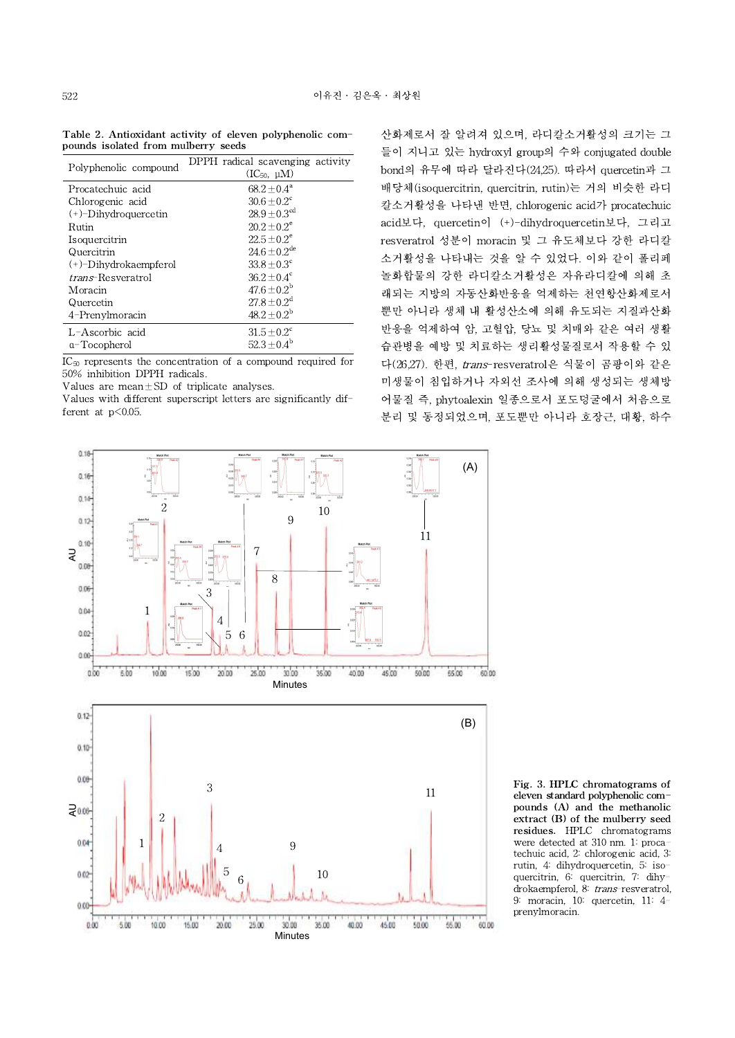Table 2. Antioxidant activity of eleven polyphenolic compounds isolated from mulberry seeds

| DPPH radical scavenging activity<br>$(IC_{50}, \mu M)$ | bo: |
|--------------------------------------------------------|-----|
| $68.2 \pm 0.4^{\circ}$                                 | 배   |
| $30.6 \pm 0.2$ <sup>c</sup>                            | 칼.  |
| $28.9 \pm 0.3$ <sup>cd</sup>                           |     |
| $20.2 \pm 0.2^e$                                       | aci |
| $22.5 \pm 0.2^e$                                       | res |
| $24.6 \pm 0.2$ <sup>de</sup>                           | 소   |
| $33.8 \pm 0.3^c$                                       |     |
| $36.2 \pm 0.4^c$                                       | 놀.  |
| $47.6 \pm 0.2^b$                                       | 래.  |
| $27.8 \pm 0.2^{\circ}$                                 |     |
| $48.2 \pm 0.2^{\rm b}$                                 | 뿐   |
| $31.5 \pm 0.2$ <sup>c</sup>                            | 바   |
| $52.3 \pm 0.4^{\circ}$                                 | 습.  |
|                                                        |     |

IC<sup>50</sup> represents the concentration of a compound required for 50% inhibition DPPH radicals.

Values are mean $\pm$ SD of triplicate analyses.

Values with different superscript letters are significantly different at  $p<0.05$ .

산화제로서 잘 알려져 있으며, 라디칼소거활성의 크기는 그 들이 지니고 있는 hydroxyl group의 수와 conjugated double bond의 유무에 따라 달라진다(24,25). 따라서 quercetin과 그 배당체(isoquercitrin, quercitrin, rutin)는 거의 비슷한 라디 칼소거활성을 나타낸 반면, chlorogenic acid가 procatechuic acid보다, quercetin이 (+)-dihydroquercetin보다, 그리고 resveratrol 성분이 moracin 및 그 유도체보다 강한 라디칼 소거활성을 나타내는 것을 알 수 있었다. 이와 같이 폴리페 놀화합물의 강한 라디칼소거활성은 자유라디칼에 의해 초 래되는 지방의 자동산화반응을 억제하는 천연항산화제로서 뿐만 아니라 생체 내 활성산소에 의해 유도되는 지질과산화 반응을 억제하여 암, 고혈압, 당뇨 및 치매와 같은 여러 생활 습관병을 예방 및 치료하는 생리활성물질로서 작용할 수 있 다(26,27). 한편, trans-resveratrol은 식물이 곰팡이와 같은 미생물이 침입하거나 자외선 조사에 의해 생성되는 생체방 어물질 즉, phytoalexin 일종으로서 포도덩굴에서 처음으로 분리 및 동정되었으며, 포도뿐만 아니라 호장근, 대황, 하수



Fig. 3. HPLC chromatograms of eleven standard polyphenolic compounds (A) and the methanolic extract (B) of the mulberry seed residues. HPLC chromatograms were detected at 310 nm. 1: procatechuic acid, 2: chlorogenic acid, 3: rutin, 4: dihydroquercetin, 5: isoquercitrin, 6: quercitrin, 7: dihydrokaempferol, 8: trans-resveratrol, 9: moracin, 10: quercetin, 11: 4 prenylmoracin.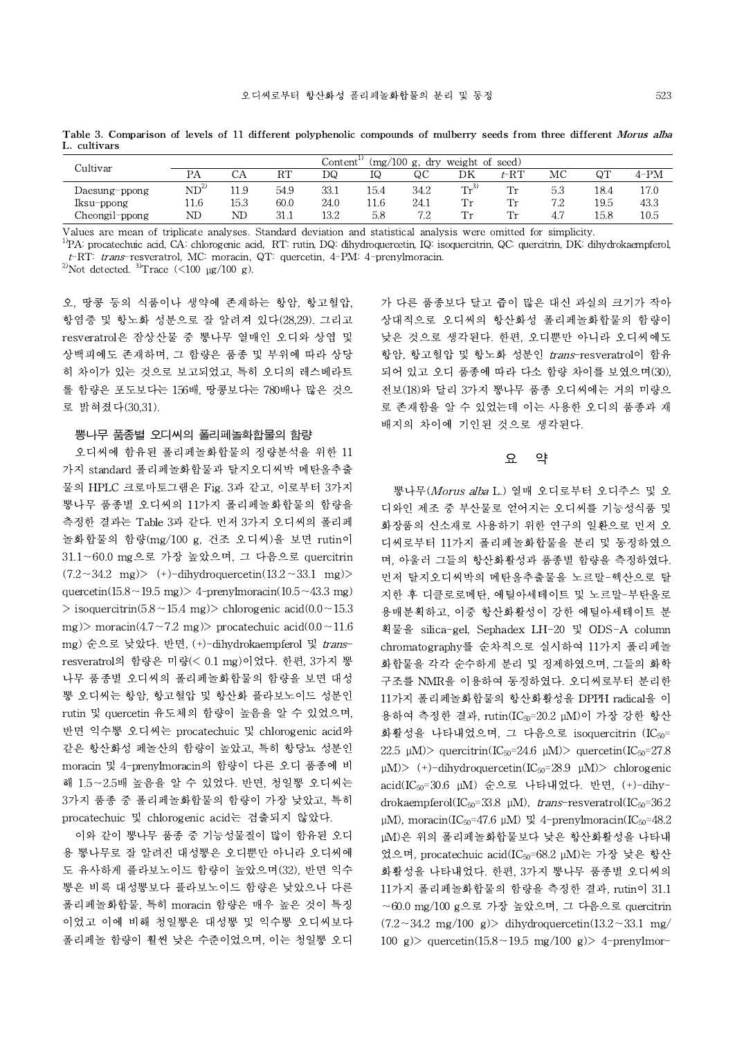| Cultivar       | (mg/100 g, dry)<br>weight of seed)<br>Content" |      |      |      |      |         |                |         |     |      |      |
|----------------|------------------------------------------------|------|------|------|------|---------|----------------|---------|-----|------|------|
|                | РA                                             |      | RT   | DQ   | ΙQ   | QC      | DK             | $t$ -RT | ΜС  | QT   | 4-PM |
| Daesung-ppong  | $\mathrm{ND}^{\mathbb{Z}}$                     | 11.9 | 54.9 | 33.1 | 15.4 | 34.2    | $T_{\rm w}$ 3) | Tr      | 5.3 | 18.4 | 17.0 |
| $Iksu$ -ppong  | 11.6                                           | 15.3 | 60.0 | 24.0 | 11.6 | 24.1    | $\sqrt{1}$     | Tr      | 70  | 19.5 | 43.3 |
| Cheongil-ppong | ND                                             | ND   | 31.1 | 13.2 | 5.8  | 79<br>. | $\sqrt{1}$     | Tr      | 4.7 | 15.8 | 10.5 |

Table 3. Comparison of levels of 11 different polyphenolic compounds of mulberry seeds from three different Morus alba L. cultivars

Values are mean of triplicate analyses. Standard deviation and statistical analysis were omitted for simplicity.

1)PA: procatechuic acid, CA: chlorogenic acid, RT: rutin, DQ: dihydroquercetin, IQ: isoquercitrin, QC: quercitrin, DK: dihydrokaempferol, t-RT: trans-resveratrol, MC: moracin, QT: quercetin, 4-PM: 4-prenylmoracin.

<sup>2)</sup>Not detected. <sup>3)</sup>Trace (<100  $\mu$ g/100 g).

오, 땅콩 등의 식품이나 생약에 존재하는 항암, 항고혈압, 항염증 및 항노화 성분으로 잘 알려져 있다(28,29). 그리고 resveratrol은 잠상산물 중 뽕나무 열매인 오디와 상엽 및 상백피에도 존재하며, 그 함량은 품종 및 부위에 따라 상당 히 차이가 있는 것으로 보고되었고, 특히 오디의 레스베라트 롤 함량은 포도보다는 156배, 땅콩보다는 780배나 많은 것으 로 밝혀졌다(30,31).

### 뽕나무 품종별 오디씨의 폴리페놀화합물의 함량

오디씨에 함유된 폴리페놀화합물의 정량분석을 위한 11 가지 standard 폴리페놀화합물과 탈지오디씨박 메탄올추출 물의 HPLC 크로마토그램은 Fig. 3과 같고, 이로부터 3가지 뽕나무 품종별 오디씨의 11가지 폴리페놀화합물의 함량을 측정한 결과는 Table 3과 같다. 먼저 3가지 오디씨의 폴리페 놀화합물의 함량(mg/100 g, 건조 오디씨)을 보면 rutin이 31.1∼60.0 mg으로 가장 높았으며, 그 다음으로 quercitrin (7.2∼34.2 mg)> (+)-dihydroquercetin(13.2∼33.1 mg)> quercetin(15.8∼19.5 mg)> 4-prenylmoracin(10.5∼43.3 mg) > isoquercitrin(5.8∼15.4 mg)> chlorogenic acid(0.0∼15.3 mg)> moracin(4.7∼7.2 mg)> procatechuic acid(0.0∼11.6 mg) 순으로 낮았다. 반면, (+)-dihydrokaempferol 및 transresveratrol의 함량은 미량(< 0.1 mg)이었다. 한편, 3가지 뽕 나무 품종별 오디씨의 폴리페놀화합물의 함량을 보면 대성 뽕 오디씨는 항암, 항고혈압 및 항산화 플라보노이드 성분인 rutin 및 quercetin 유도체의 함량이 높음을 알 수 있었으며, 반면 익수뽕 오디씨는 procatechuic 및 chlorogenic acid와 같은 항산화성 페놀산의 함량이 높았고, 특히 항당뇨 성분인 moracin 및 4-prenylmoracin의 함량이 다른 오디 품종에 비 해 1.5∼2.5배 높음을 알 수 있었다. 반면, 청일뽕 오디씨는 3가지 품종 중 폴리페놀화합물의 함량이 가장 낮았고, 특히 procatechuic 및 chlorogenic acid는 검출되지 않았다.

이와 같이 뽕나무 품종 중 기능성물질이 많이 함유된 오디 용 뽕나무로 잘 알려진 대성뽕은 오디뿐만 아니라 오디씨에 도 유사하게 플라보노이드 함량이 높았으며(32), 반면 익수 뽕은 비록 대성뽕보다 플라보노이드 함량은 낮았으나 다른 폴리페놀화합물, 특히 moracin 함량은 매우 높은 것이 특징 이었고 이에 비해 청일뽕은 대성뽕 및 익수뽕 오디씨보다 폴리페놀 함량이 훨씬 낮은 수준이었으며, 이는 청일뽕 오디 가 다른 품종보다 달고 즙이 많은 대신 과실의 크기가 작아 상대적으로 오디씨의 항산화성 폴리페놀화합물의 함량이 낮은 것으로 생각된다. 한편, 오디뿐만 아니라 오디씨에도 항암, 항고혈압 및 항노화 성분인 trans-resveratrol이 함유 되어 있고 오디 품종에 따라 다소 함량 차이를 보였으며(30), 전보(18)와 달리 3가지 뽕나무 품종 오디씨에는 거의 미량으 로 존재함을 알 수 있었는데 이는 사용한 오디의 품종과 재 배지의 차이에 기인된 것으로 생각된다.

#### 요 약

뽕나무(Morus alba L.) 열매 오디로부터 오디주스 및 오 디와인 제조 중 부산물로 얻어지는 오디씨를 기능성식품 및 화장품의 신소재로 사용하기 위한 연구의 일환으로 먼저 오 디씨로부터 11가지 폴리페놀화합물을 분리 및 동정하였으 며, 아울러 그들의 항산화활성과 품종별 함량을 측정하였다. 먼저 탈지오디씨박의 메탄올추출물을 노르말-헥산으로 탈 지한 후 디클로로메탄, 에틸아세테이트 및 노르말-부탄올로 용매분획하고, 이중 항산화활성이 강한 에틸아세테이트 분 획물을 silica-gel, Sephadex LH-20 및 ODS-A column chromatography를 순차적으로 실시하여 11가지 폴리페놀 화합물을 각각 순수하게 분리 및 정제하였으며, 그들의 화학 구조를 NMR을 이용하여 동정하였다. 오디씨로부터 분리한 11가지 폴리페놀화합물의 항산화활성을 DPPH radical을 이 용하여 측정한 결과, rutin(IC50=20.2 μM)이 가장 강한 항산 화활성을 나타내었으며, 그 다음으로 isoquercitrin  $(IC_{50}$ = 22.5 μM) quercitrin(IC<sub>50</sub>=24.6 μM) quercetin(IC<sub>50</sub>=27.8  $\mu$ M)> (+)-dihydroquercetin(IC<sub>50</sub>=28.9  $\mu$ M)> chlorogenic acid(IC50=30.6 μM) 순으로 나타내었다. 반면, (+)-dihydrokaempferol(IC<sub>50</sub>=33.8 μM), trans-resveratrol(IC<sub>50</sub>=36.2  $μM$ ), moracin(IC<sub>50</sub>=47.6  $μM$ ) 및 4-prenylmoracin(IC<sub>50</sub>=48.2 μM)은 위의 폴리페놀화합물보다 낮은 항산화활성을 나타내 었으며, procatechuic acid(IC<sub>50</sub>=68.2 μM)는 가장 낮은 항산 화활성을 나타내었다. 한편, 3가지 뽕나무 품종별 오디씨의 11가지 폴리페놀화합물의 함량을 측정한 결과, rutin이 31.1 ∼60.0 mg/100 g으로 가장 높았으며, 그 다음으로 quercitrin (7.2∼34.2 mg/100 g)> dihydroquercetin(13.2∼33.1 mg/ 100 g)> quercetin(15.8∼19.5 mg/100 g)> 4-prenylmor